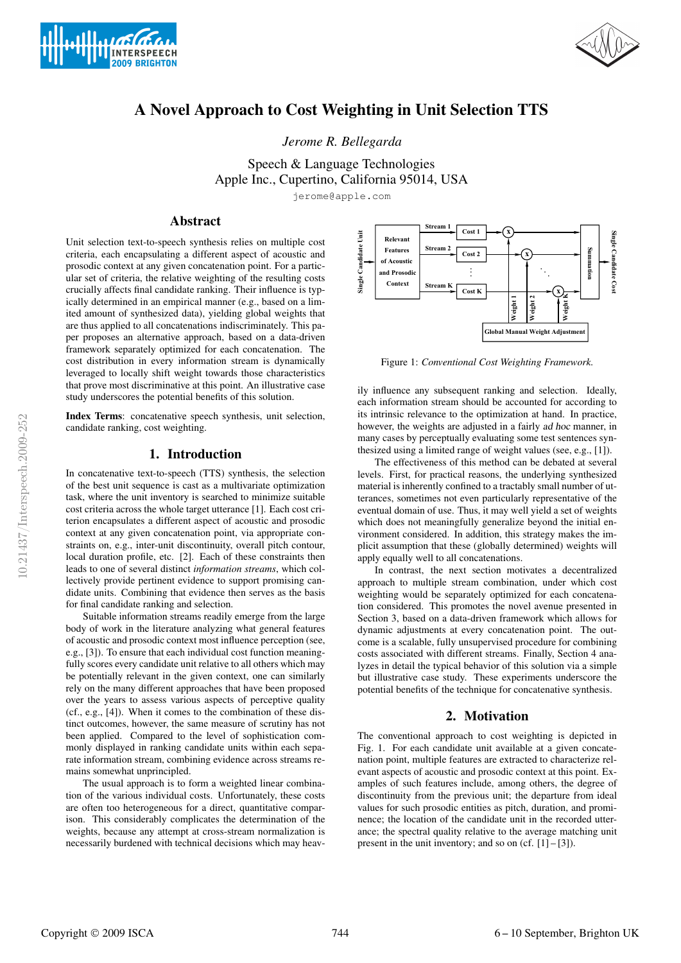



# A Novel Approach to Cost Weighting in Unit Selection TTS

*Jerome R. Bellegarda*

Speech & Language Technologies Apple Inc., Cupertino, California 95014, USA

jerome@apple.com

# Abstract

Unit selection text-to-speech synthesis relies on multiple cost criteria, each encapsulating a different aspect of acoustic and prosodic context at any given concatenation point. For a particular set of criteria, the relative weighting of the resulting costs crucially affects final candidate ranking. Their influence is typically determined in an empirical manner (e.g., based on a limited amount of synthesized data), yielding global weights that are thus applied to all concatenations indiscriminately. This paper proposes an alternative approach, based on a data-driven framework separately optimized for each concatenation. The cost distribution in every information stream is dynamically leveraged to locally shift weight towards those characteristics that prove most discriminative at this point. An illustrative case study underscores the potential benefits of this solution.

Index Terms: concatenative speech synthesis, unit selection, candidate ranking, cost weighting.

#### 1. Introduction

In concatenative text-to-speech (TTS) synthesis, the selection of the best unit sequence is cast as a multivariate optimization task, where the unit inventory is searched to minimize suitable cost criteria across the whole target utterance [1]. Each cost criterion encapsulates a different aspect of acoustic and prosodic context at any given concatenation point, via appropriate constraints on, e.g., inter-unit discontinuity, overall pitch contour, local duration profile, etc. [2]. Each of these constraints then leads to one of several distinct *information streams*, which collectively provide pertinent evidence to support promising candidate units. Combining that evidence then serves as the basis for final candidate ranking and selection.

Suitable information streams readily emerge from the large body of work in the literature analyzing what general features of acoustic and prosodic context most influence perception (see, e.g., [3]). To ensure that each individual cost function meaningfully scores every candidate unit relative to all others which may be potentially relevant in the given context, one can similarly rely on the many different approaches that have been proposed over the years to assess various aspects of perceptive quality (cf., e.g., [4]). When it comes to the combination of these distinct outcomes, however, the same measure of scrutiny has not been applied. Compared to the level of sophistication commonly displayed in ranking candidate units within each separate information stream, combining evidence across streams remains somewhat unprincipled.

The usual approach is to form a weighted linear combination of the various individual costs. Unfortunately, these costs are often too heterogeneous for a direct, quantitative comparison. This considerably complicates the determination of the weights, because any attempt at cross-stream normalization is necessarily burdened with technical decisions which may heav-



Figure 1: *Conventional Cost Weighting Framework.*

ily influence any subsequent ranking and selection. Ideally, each information stream should be accounted for according to its intrinsic relevance to the optimization at hand. In practice, however, the weights are adjusted in a fairly ad hoc manner, in many cases by perceptually evaluating some test sentences synthesized using a limited range of weight values (see, e.g., [1]).

The effectiveness of this method can be debated at several levels. First, for practical reasons, the underlying synthesized material is inherently confined to a tractably small number of utterances, sometimes not even particularly representative of the eventual domain of use. Thus, it may well yield a set of weights which does not meaningfully generalize beyond the initial environment considered. In addition, this strategy makes the implicit assumption that these (globally determined) weights will apply equally well to all concatenations.

In contrast, the next section motivates a decentralized approach to multiple stream combination, under which cost weighting would be separately optimized for each concatenation considered. This promotes the novel avenue presented in Section 3, based on a data-driven framework which allows for dynamic adjustments at every concatenation point. The outcome is a scalable, fully unsupervised procedure for combining costs associated with different streams. Finally, Section 4 analyzes in detail the typical behavior of this solution via a simple but illustrative case study. These experiments underscore the potential benefits of the technique for concatenative synthesis.

#### 2. Motivation

The conventional approach to cost weighting is depicted in Fig. 1. For each candidate unit available at a given concatenation point, multiple features are extracted to characterize relevant aspects of acoustic and prosodic context at this point. Examples of such features include, among others, the degree of discontinuity from the previous unit; the departure from ideal values for such prosodic entities as pitch, duration, and prominence; the location of the candidate unit in the recorded utterance; the spectral quality relative to the average matching unit present in the unit inventory; and so on  $(cf. [1] - [3])$ .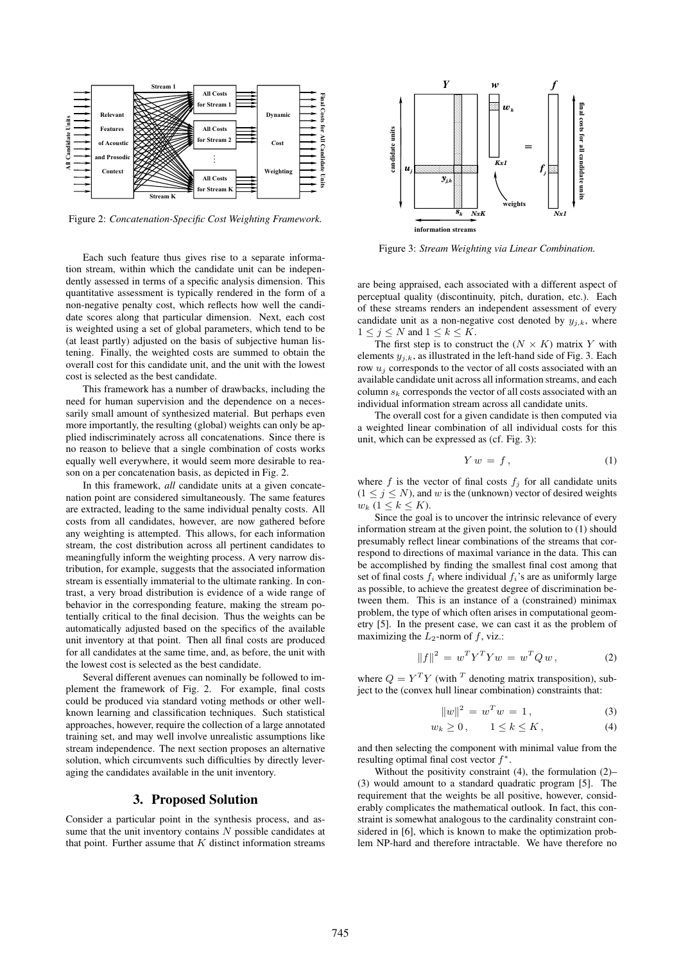

Figure 2: *Concatenation-Specific Cost Weighting Framework.*

Each such feature thus gives rise to a separate information stream, within which the candidate unit can be independently assessed in terms of a specific analysis dimension. This quantitative assessment is typically rendered in the form of a non-negative penalty cost, which reflects how well the candidate scores along that particular dimension. Next, each cost is weighted using a set of global parameters, which tend to be (at least partly) adjusted on the basis of subjective human listening. Finally, the weighted costs are summed to obtain the overall cost for this candidate unit, and the unit with the lowest cost is selected as the best candidate.

This framework has a number of drawbacks, including the need for human supervision and the dependence on a necessarily small amount of synthesized material. But perhaps even more importantly, the resulting (global) weights can only be applied indiscriminately across all concatenations. Since there is no reason to believe that a single combination of costs works equally well everywhere, it would seem more desirable to reason on a per concatenation basis, as depicted in Fig. 2.

In this framework, *all* candidate units at a given concatenation point are considered simultaneously. The same features are extracted, leading to the same individual penalty costs. All costs from all candidates, however, are now gathered before any weighting is attempted. This allows, for each information stream, the cost distribution across all pertinent candidates to meaningfully inform the weighting process. A very narrow distribution, for example, suggests that the associated information stream is essentially immaterial to the ultimate ranking. In contrast, a very broad distribution is evidence of a wide range of behavior in the corresponding feature, making the stream potentially critical to the final decision. Thus the weights can be automatically adjusted based on the specifics of the available unit inventory at that point. Then all final costs are produced for all candidates at the same time, and, as before, the unit with the lowest cost is selected as the best candidate.

Several different avenues can nominally be followed to implement the framework of Fig. 2. For example, final costs could be produced via standard voting methods or other wellknown learning and classification techniques. Such statistical approaches, however, require the collection of a large annotated training set, and may well involve unrealistic assumptions like stream independence. The next section proposes an alternative solution, which circumvents such difficulties by directly leveraging the candidates available in the unit inventory.

#### 3. Proposed Solution

Consider a particular point in the synthesis process, and assume that the unit inventory contains  $N$  possible candidates at that point. Further assume that  $K$  distinct information streams



Figure 3: *Stream Weighting via Linear Combination.*

are being appraised, each associated with a different aspect of perceptual quality (discontinuity, pitch, duration, etc.). Each of these streams renders an independent assessment of every candidate unit as a non-negative cost denoted by  $y_{i,k}$ , where  $1 \le j \le N$  and  $1 \le k \le K$ .

The first step is to construct the  $(N \times K)$  matrix Y with elements  $y_{j,k}$ , as illustrated in the left-hand side of Fig. 3. Each row  $u_i$  corresponds to the vector of all costs associated with an available candidate unit across all information streams, and each column  $s_k$  corresponds the vector of all costs associated with an individual information stream across all candidate units.

The overall cost for a given candidate is then computed via a weighted linear combination of all individual costs for this unit, which can be expressed as (cf. Fig. 3):

$$
Y \, w \, = \, f \,, \tag{1}
$$

where f is the vector of final costs  $f_j$  for all candidate units  $(1 \le j \le N)$ , and w is the (unknown) vector of desired weights  $w_k$   $(1 \leq k \leq K)$ .

Since the goal is to uncover the intrinsic relevance of every information stream at the given point, the solution to (1) should presumably reflect linear combinations of the streams that correspond to directions of maximal variance in the data. This can be accomplished by finding the smallest final cost among that set of final costs  $f_i$  where individual  $f_i$ 's are as uniformly large as possible, to achieve the greatest degree of discrimination between them. This is an instance of a (constrained) minimax problem, the type of which often arises in computational geometry [5]. In the present case, we can cast it as the problem of maximizing the  $L_2$ -norm of f, viz.:

$$
||f||^2 = w^T Y^T Y w = w^T Q w,
$$
 (2)

where  $Q = Y^T Y$  (with <sup>T</sup> denoting matrix transposition), subject to the (convex hull linear combination) constraints that:

$$
||w||^2 = w^T w = 1,
$$
\n(3)

$$
w_k \ge 0, \qquad 1 \le k \le K, \tag{4}
$$

and then selecting the component with minimal value from the resulting optimal final cost vector  $f^*$ .

Without the positivity constraint (4), the formulation (2)– (3) would amount to a standard quadratic program [5]. The requirement that the weights be all positive, however, considerably complicates the mathematical outlook. In fact, this constraint is somewhat analogous to the cardinality constraint considered in [6], which is known to make the optimization problem NP-hard and therefore intractable. We have therefore no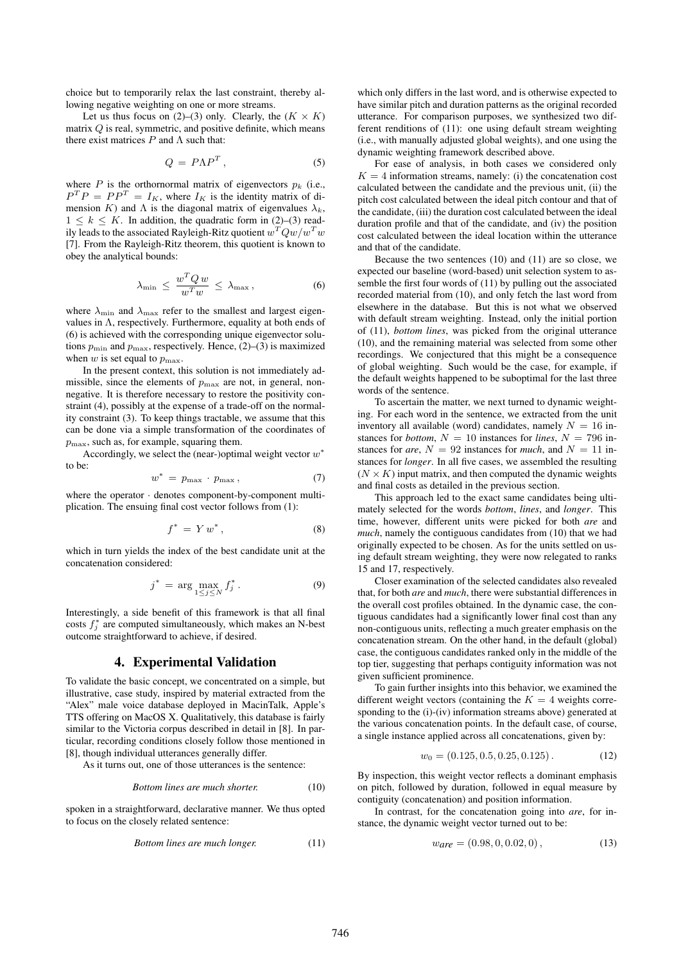choice but to temporarily relax the last constraint, thereby allowing negative weighting on one or more streams.

Let us thus focus on (2)–(3) only. Clearly, the  $(K \times K)$ matrix  $Q$  is real, symmetric, and positive definite, which means there exist matrices  $P$  and  $\Lambda$  such that:

$$
Q = P\Lambda P^T, \tag{5}
$$

where  $P$  is the orthornormal matrix of eigenvectors  $p_k$  (i.e.,  $P^T P = P P^T = I_K$ , where  $I_K$  is the identity matrix of dimension K) and  $\Lambda$  is the diagonal matrix of eigenvalues  $\lambda_k$ ,  $1 \leq k \leq K$ . In addition, the quadratic form in (2)–(3) readily leads to the associated Rayleigh-Ritz quotient  $\boldsymbol{w}^T\boldsymbol{Q}\boldsymbol{w}/\boldsymbol{w}^T\boldsymbol{w}$ [7]. From the Rayleigh-Ritz theorem, this quotient is known to obey the analytical bounds:

$$
\lambda_{\min} \le \frac{w^T Q w}{w^T w} \le \lambda_{\max}, \tag{6}
$$

where  $\lambda_{\min}$  and  $\lambda_{\max}$  refer to the smallest and largest eigenvalues in  $\Lambda$ , respectively. Furthermore, equality at both ends of (6) is achieved with the corresponding unique eigenvector solutions  $p_{\min}$  and  $p_{\max}$ , respectively. Hence, (2)–(3) is maximized when  $w$  is set equal to  $p_{\text{max}}$ .

In the present context, this solution is not immediately admissible, since the elements of  $p_{\text{max}}$  are not, in general, nonnegative. It is therefore necessary to restore the positivity constraint (4), possibly at the expense of a trade-off on the normality constraint (3). To keep things tractable, we assume that this can be done via a simple transformation of the coordinates of  $p_{\text{max}}$ , such as, for example, squaring them.

Accordingly, we select the (near-)optimal weight vector  $w^*$ to be:

$$
w^* = p_{\max} \cdot p_{\max}, \tag{7}
$$

where the operator · denotes component-by-component multiplication. The ensuing final cost vector follows from (1):

$$
f^* = Y w^*,\tag{8}
$$

which in turn yields the index of the best candidate unit at the concatenation considered:

$$
j^* = \arg\max_{1 \le j \le N} f_j^* \,. \tag{9}
$$

Interestingly, a side benefit of this framework is that all final costs  $f_j^*$  are computed simultaneously, which makes an N-best outcome straightforward to achieve, if desired.

### 4. Experimental Validation

To validate the basic concept, we concentrated on a simple, but illustrative, case study, inspired by material extracted from the "Alex" male voice database deployed in MacinTalk, Apple's TTS offering on MacOS X. Qualitatively, this database is fairly similar to the Victoria corpus described in detail in [8]. In particular, recording conditions closely follow those mentioned in [8], though individual utterances generally differ.

As it turns out, one of those utterances is the sentence:

*Bottom lines are much shorter.* (10)

spoken in a straightforward, declarative manner. We thus opted to focus on the closely related sentence:

*Bottom lines are much longer.* (11)

which only differs in the last word, and is otherwise expected to have similar pitch and duration patterns as the original recorded utterance. For comparison purposes, we synthesized two different renditions of (11): one using default stream weighting (i.e., with manually adjusted global weights), and one using the dynamic weighting framework described above.

For ease of analysis, in both cases we considered only  $K = 4$  information streams, namely: (i) the concatenation cost calculated between the candidate and the previous unit, (ii) the pitch cost calculated between the ideal pitch contour and that of the candidate, (iii) the duration cost calculated between the ideal duration profile and that of the candidate, and (iv) the position cost calculated between the ideal location within the utterance and that of the candidate.

Because the two sentences (10) and (11) are so close, we expected our baseline (word-based) unit selection system to assemble the first four words of (11) by pulling out the associated recorded material from (10), and only fetch the last word from elsewhere in the database. But this is not what we observed with default stream weighting. Instead, only the initial portion of (11), *bottom lines*, was picked from the original utterance (10), and the remaining material was selected from some other recordings. We conjectured that this might be a consequence of global weighting. Such would be the case, for example, if the default weights happened to be suboptimal for the last three words of the sentence.

To ascertain the matter, we next turned to dynamic weighting. For each word in the sentence, we extracted from the unit inventory all available (word) candidates, namely  $N = 16$  instances for *bottom*,  $N = 10$  instances for *lines*,  $N = 796$  instances for *are*,  $N = 92$  instances for *much*, and  $N = 11$  instances for *longer*. In all five cases, we assembled the resulting  $(N \times K)$  input matrix, and then computed the dynamic weights and final costs as detailed in the previous section.

This approach led to the exact same candidates being ultimately selected for the words *bottom*, *lines*, and *longer*. This time, however, different units were picked for both *are* and *much*, namely the contiguous candidates from (10) that we had originally expected to be chosen. As for the units settled on using default stream weighting, they were now relegated to ranks 15 and 17, respectively.

Closer examination of the selected candidates also revealed that, for both *are* and *much*, there were substantial differences in the overall cost profiles obtained. In the dynamic case, the contiguous candidates had a significantly lower final cost than any non-contiguous units, reflecting a much greater emphasis on the concatenation stream. On the other hand, in the default (global) case, the contiguous candidates ranked only in the middle of the top tier, suggesting that perhaps contiguity information was not given sufficient prominence.

To gain further insights into this behavior, we examined the different weight vectors (containing the  $K = 4$  weights corresponding to the (i)-(iv) information streams above) generated at the various concatenation points. In the default case, of course, a single instance applied across all concatenations, given by:

$$
w_0 = (0.125, 0.5, 0.25, 0.125). \tag{12}
$$

By inspection, this weight vector reflects a dominant emphasis on pitch, followed by duration, followed in equal measure by contiguity (concatenation) and position information.

In contrast, for the concatenation going into *are*, for instance, the dynamic weight vector turned out to be:

$$
ware = (0.98, 0, 0.02, 0), \tag{13}
$$